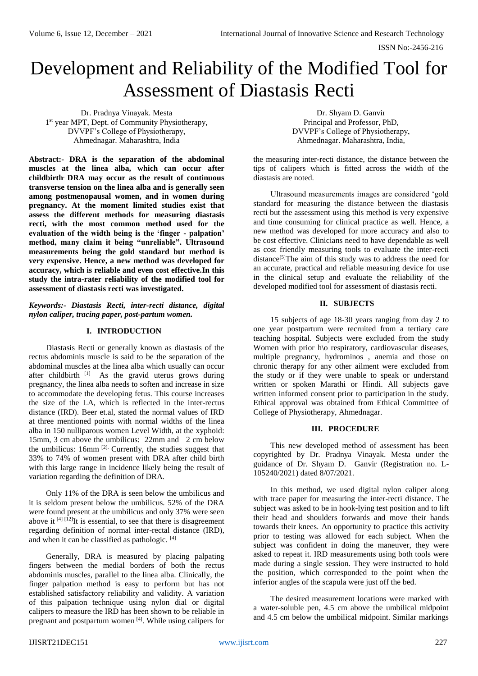ISSN No:-2456-216

# Development and Reliability of the Modified Tool for Assessment of Diastasis Recti

Dr. Pradnya Vinayak. Mesta 1 st year MPT, Dept. of Community Physiotherapy, DVVPF's College of Physiotherapy, Ahmednagar. Maharashtra, India

**Abstract:- DRA is the separation of the abdominal muscles at the linea alba, which can occur after childbirth. DRA may occur as the result of continuous transverse tension on the linea alba and is generally seen among postmenopausal women, and in women during pregnancy. At the moment limited studies exist that assess the different methods for measuring diastasis recti, with the most common method used for the evaluation of the width being is the 'finger - palpation' method, many claim it being "unreliable". Ultrasound measurements being the gold standard but method is very expensive. Hence, a new method was developed for accuracy, which is reliable and even cost effective.In this study the intra-rater reliability of the modified tool for assessment of diastasis recti was investigated.**

*Keywords:- Diastasis Recti, inter-recti distance, digital nylon caliper, tracing paper, post-partum women.*

#### **I. INTRODUCTION**

Diastasis Recti or generally known as diastasis of the rectus abdominis muscle is said to be the separation of the abdominal muscles at the linea alba which usually can occur after childbirth [1] As the gravid uterus grows during pregnancy, the linea alba needs to soften and increase in size to accommodate the developing fetus. This course increases the size of the LA, which is reflected in the inter-rectus distance (IRD). Beer et.al, stated the normal values of IRD at three mentioned points with normal widths of the linea alba in 150 nulliparous women Level Width, at the xyphoid: 15mm, 3 cm above the umbilicus: 22mm and 2 cm below the umbilicus: 16mm [2]. Currently, the studies suggest that 33% to 74% of women present with DRA after child birth with this large range in incidence likely being the result of variation regarding the definition of DRA.

Only 11% of the DRA is seen below the umbilicus and it is seldom present below the umbilicus. 52% of the DRA were found present at the umbilicus and only 37% were seen above it  $[4]$   $[12]$ It is essential, to see that there is disagreement regarding definition of normal inter-rectal distance (IRD), and when it can be classified as pathologic. [4]

Generally, DRA is measured by placing palpating fingers between the medial borders of both the rectus abdominis muscles, parallel to the linea alba. Clinically, the finger palpation method is easy to perform but has not established satisfactory reliability and validity. A variation of this palpation technique using nylon dial or digital calipers to measure the IRD has been shown to be reliable in pregnant and postpartum women [4]. While using calipers for

Dr. Shyam D. Ganvir Principal and Professor, PhD, DVVPF's College of Physiotherapy, Ahmednagar. Maharashtra, India,

the measuring inter-recti distance, the distance between the tips of calipers which is fitted across the width of the diastasis are noted.

Ultrasound measurements images are considered 'gold standard for measuring the distance between the diastasis recti but the assessment using this method is very expensive and time consuming for clinical practice as well. Hence, a new method was developed for more accuracy and also to be cost effective. Clinicians need to have dependable as well as cost friendly measuring tools to evaluate the inter-recti distance<sup>[5]</sup>The aim of this study was to address the need for an accurate, practical and reliable measuring device for use in the clinical setup and evaluate the reliability of the developed modified tool for assessment of diastasis recti.

### **II. SUBJECTS**

15 subjects of age 18-30 years ranging from day 2 to one year postpartum were recruited from a tertiary care teaching hospital. Subjects were excluded from the study Women with prior h\o respiratory, cardiovascular diseases, multiple pregnancy, hydrominos , anemia and those on chronic therapy for any other ailment were excluded from the study or if they were unable to speak or understand written or spoken Marathi or Hindi. All subjects gave written informed consent prior to participation in the study. Ethical approval was obtained from Ethical Committee of College of Physiotherapy, Ahmednagar.

#### **III. PROCEDURE**

This new developed method of assessment has been copyrighted by Dr. Pradnya Vinayak. Mesta under the guidance of Dr. Shyam D. Ganvir (Registration no. L-105240/2021) dated 8/07/2021.

In this method, we used digital nylon caliper along with trace paper for measuring the inter-recti distance. The subject was asked to be in hook-lying test position and to lift their head and shoulders forwards and move their hands towards their knees. An opportunity to practice this activity prior to testing was allowed for each subject. When the subject was confident in doing the maneuver, they were asked to repeat it. IRD measurements using both tools were made during a single session. They were instructed to hold the position, which corresponded to the point when the inferior angles of the scapula were just off the bed.

The desired measurement locations were marked with a water-soluble pen, 4.5 cm above the umbilical midpoint and 4.5 cm below the umbilical midpoint. Similar markings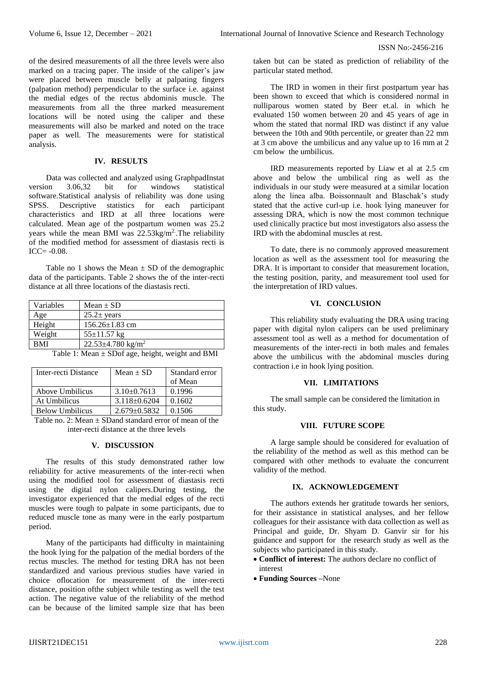ISSN No:-2456-216

of the desired measurements of all the three levels were also marked on a tracing paper. The inside of the caliper's jaw were placed between muscle belly at palpating fingers (palpation method) perpendicular to the surface i.e. against the medial edges of the rectus abdominis muscle. The measurements from all the three marked measurement locations will be noted using the caliper and these measurements will also be marked and noted on the trace paper as well. The measurements were for statistical analysis.

#### **IV. RESULTS**

Data was collected and analyzed using GraphpadInstat version 3.06,32 bit for windows statistical software.Statistical analysis of reliability was done using SPSS. Descriptive statistics for each participant characteristics and IRD at all three locations were calculated. Mean age of the postpartum women was 25.2 years while the mean BMI was  $22.53\text{kg/m}^2$ . The reliability of the modified method for assessment of diastasis recti is  $ICC= -0.08.$ 

Table no 1 shows the Mean  $\pm$  SD of the demographic data of the participants. Table 2 shows the of the inter-recti distance at all three locations of the diastasis recti.

| Variables                                       | Mean $\pm$ SD                       |  |
|-------------------------------------------------|-------------------------------------|--|
| Age                                             | $25.2 \pm \mathrm{years}$           |  |
| Height                                          | $156.26 \pm 1.83$ cm                |  |
| Weight                                          | $55 \pm 11.57$ kg                   |  |
| <b>BMI</b>                                      | $22.53 \pm 4.780$ kg/m <sup>2</sup> |  |
| Takla 1. Magn + CD of ago hoight wought and DMI |                                     |  |

| Table 1: Mean $\pm$ SDof age, height, weight and BMI |  |  |  |
|------------------------------------------------------|--|--|--|
|------------------------------------------------------|--|--|--|

| Inter-recti Distance   | Mean $\pm$ SD      | Standard error   |
|------------------------|--------------------|------------------|
|                        |                    | of Mean          |
| Above Umbilicus        | $3.10\pm0.7613$    | 0.1996           |
| At Umbilicus           | $3.118 \pm 0.6204$ | 0.1602           |
| <b>Below Umbilicus</b> | $2.679 \pm 0.5832$ | 0.1506           |
| $T = 11$ $T = 11$      |                    | $\sim$ $\cdot$ 1 |

Table no. 2: Mean + SDand standard error of mean of the inter-recti distance at the three levels

## **V. DISCUSSION**

The results of this study demonstrated rather low reliability for active measurements of the inter-recti when using the modified tool for assessment of diastasis recti using the digital nylon calipers.During testing, the investigator experienced that the medial edges of the recti muscles were tough to palpate in some participants, due to reduced muscle tone as many were in the early postpartum period.

Many of the participants had difficulty in maintaining the hook lying for the palpation of the medial borders of the rectus muscles. The method for testing DRA has not been standardized and various previous studies have varied in choice oflocation for measurement of the inter-recti distance, position ofthe subject while testing as well the test action. The negative value of the reliability of the method can be because of the limited sample size that has been taken but can be stated as prediction of reliability of the particular stated method.

The IRD in women in their first postpartum year has been shown to exceed that which is considered normal in nulliparous women stated by Beer et.al. in which he evaluated 150 women between 20 and 45 years of age in whom the stated that normal IRD was distinct if any value between the 10th and 90th percentile, or greater than 22 mm at 3 cm above the umbilicus and any value up to 16 mm at 2 cm below the umbilicus.

IRD measurements reported by Liaw et al at 2.5 cm above and below the umbilical ring as well as the individuals in our study were measured at a similar location along the linea alba. Boissonnault and Blaschak's study stated that the active curl-up i.e. hook lying maneuver for assessing DRA, which is now the most common technique used clinically practice but most investigators also assess the IRD with the abdominal muscles at rest.

To date, there is no commonly approved measurement location as well as the assessment tool for measuring the DRA. It is important to consider that measurement location, the testing position, parity, and measurement tool used for the interpretation of IRD values.

#### **VI. CONCLUSION**

This reliability study evaluating the DRA using tracing paper with digital nylon calipers can be used preliminary assessment tool as well as a method for documentation of measurements of the inter-recti in both males and females above the umbilicus with the abdominal muscles during contraction i.e in hook lying position.

#### **VII. LIMITATIONS**

The small sample can be considered the limitation in this study.

#### **VIII. FUTURE SCOPE**

A large sample should be considered for evaluation of the reliability of the method as well as this method can be compared with other methods to evaluate the concurrent validity of the method.

#### **IX. ACKNOWLEDGEMENT**

The authors extends her gratitude towards her seniors, for their assistance in statistical analyses, and her fellow colleagues for their assistance with data collection as well as Principal and guide, Dr. Shyam D. Ganvir sir for his guidance and support for the research study as well as the subjects who participated in this study.

- **Conflict of interest:** The authors declare no conflict of interest
- **Funding Sources –**None